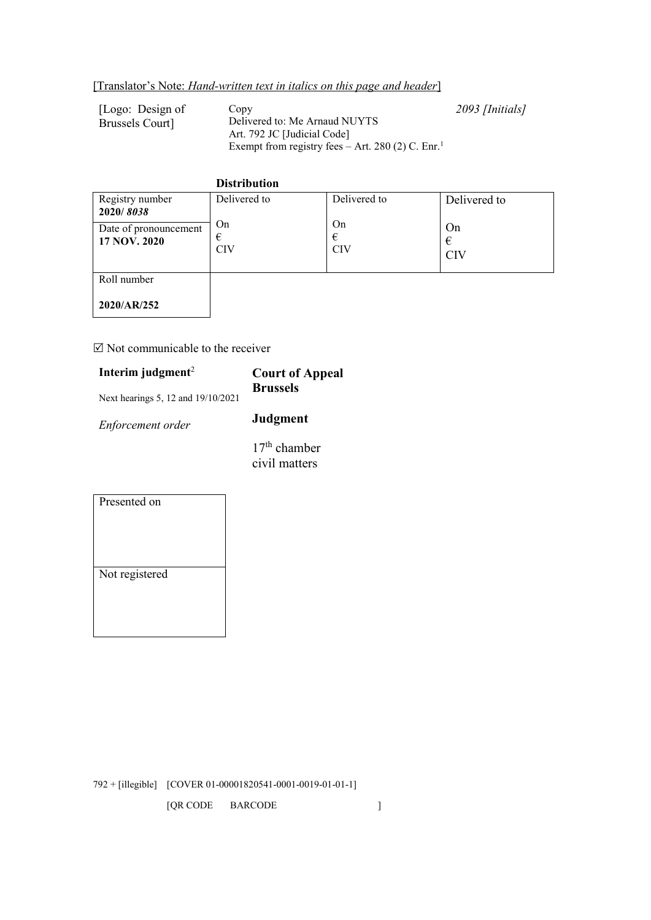[Logo: Design of Brussels Court]

Copy Delivered to: Me Arnaud NUYTS Art. 792 JC [Judicial Code] Exempt from registry fees – Art. 280 (2) C. Enr.<sup>1</sup> *2093 [Initials]*

#### **Distribution** Registry number **2020/** *8038* Delivered to On € CIV Delivered to On € CIV Delivered to On € CIV Date of pronouncement **17 NOV. 2020** Roll number **2020/AR/252**

# $\boxtimes$  Not communicable to the receiver

| Interim judgment <sup>2</sup>      | <b>Court of Appeal</b><br><b>Brussels</b> |
|------------------------------------|-------------------------------------------|
| Next hearings 5, 12 and 19/10/2021 |                                           |
| Enforcement order                  | <b>Judgment</b>                           |
|                                    | $17th$ chamber<br>civil matters           |

| Presented on   |
|----------------|
|                |
|                |
|                |
|                |
| Not registered |
|                |
|                |
|                |
|                |

792 + [illegible] [COVER 01-00001820541-0001-0019-01-01-1]

[QR CODE BARCODE]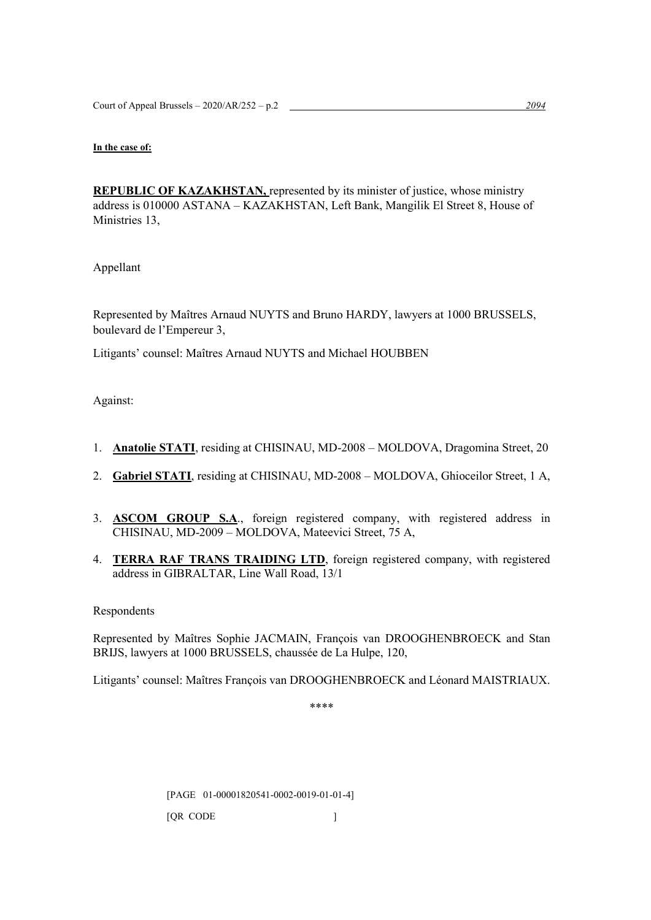# **In the case of:**

**REPUBLIC OF KAZAKHSTAN,** represented by its minister of justice, whose ministry address is 010000 ASTANA – KAZAKHSTAN, Left Bank, Mangilik El Street 8, House of Ministries 13,

Appellant

Represented by Maîtres Arnaud NUYTS and Bruno HARDY, lawyers at 1000 BRUSSELS, boulevard de l'Empereur 3,

Litigants' counsel: Maîtres Arnaud NUYTS and Michael HOUBBEN

Against:

- 1. **Anatolie STATI**, residing at CHISINAU, MD-2008 MOLDOVA, Dragomina Street, 20
- 2. **Gabriel STATI**, residing at CHISINAU, MD-2008 MOLDOVA, Ghioceilor Street, 1 A,
- 3. **ASCOM GROUP S.A**., foreign registered company, with registered address in CHISINAU, MD-2009 – MOLDOVA, Mateevici Street, 75 A,
- 4. **TERRA RAF TRANS TRAIDING LTD**, foreign registered company, with registered address in GIBRALTAR, Line Wall Road, 13/1

Respondents

Represented by Maîtres Sophie JACMAIN, François van DROOGHENBROECK and Stan BRIJS, lawyers at 1000 BRUSSELS, chaussée de La Hulpe, 120,

Litigants' counsel: Maîtres François van DROOGHENBROECK and Léonard MAISTRIAUX.

\*\*\*\*

[PAGE 01-00001820541-0002-0019-01-01-4]

[QR CODE ]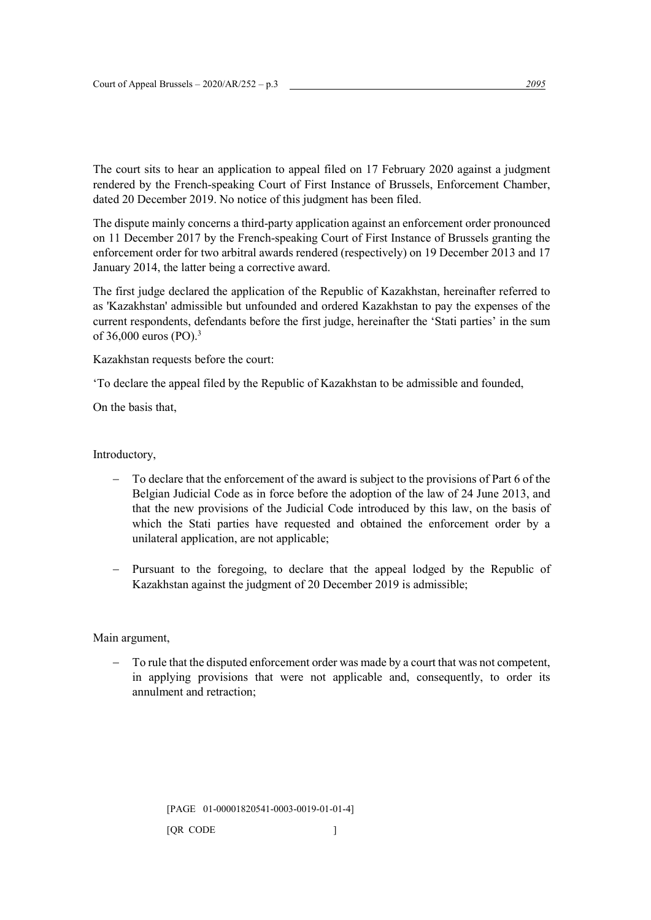The court sits to hear an application to appeal filed on 17 February 2020 against a judgment rendered by the French-speaking Court of First Instance of Brussels, Enforcement Chamber, dated 20 December 2019. No notice of this judgment has been filed.

The dispute mainly concerns a third-party application against an enforcement order pronounced on 11 December 2017 by the French-speaking Court of First Instance of Brussels granting the enforcement order for two arbitral awards rendered (respectively) on 19 December 2013 and 17 January 2014, the latter being a corrective award.

The first judge declared the application of the Republic of Kazakhstan, hereinafter referred to as 'Kazakhstan' admissible but unfounded and ordered Kazakhstan to pay the expenses of the current respondents, defendants before the first judge, hereinafter the 'Stati parties' in the sum of 36,000 euros (PO). 3

Kazakhstan requests before the court:

'To declare the appeal filed by the Republic of Kazakhstan to be admissible and founded,

On the basis that,

# Introductory,

- To declare that the enforcement of the award is subject to the provisions of Part 6 of the Belgian Judicial Code as in force before the adoption of the law of 24 June 2013, and that the new provisions of the Judicial Code introduced by this law, on the basis of which the Stati parties have requested and obtained the enforcement order by a unilateral application, are not applicable;
- − Pursuant to the foregoing, to declare that the appeal lodged by the Republic of Kazakhstan against the judgment of 20 December 2019 is admissible;

Main argument,

To rule that the disputed enforcement order was made by a court that was not competent, in applying provisions that were not applicable and, consequently, to order its annulment and retraction;

[PAGE 01-00001820541-0003-0019-01-01-4]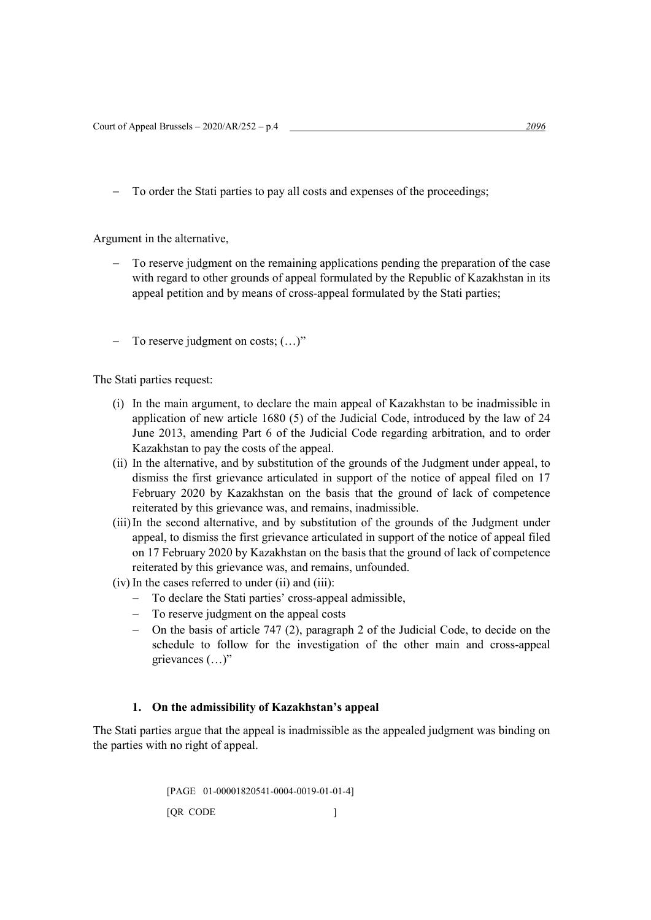− To order the Stati parties to pay all costs and expenses of the proceedings;

Argument in the alternative,

- To reserve judgment on the remaining applications pending the preparation of the case with regard to other grounds of appeal formulated by the Republic of Kazakhstan in its appeal petition and by means of cross-appeal formulated by the Stati parties;
- − To reserve judgment on costs; (…)"

The Stati parties request:

- (i) In the main argument, to declare the main appeal of Kazakhstan to be inadmissible in application of new article 1680 (5) of the Judicial Code, introduced by the law of 24 June 2013, amending Part 6 of the Judicial Code regarding arbitration, and to order Kazakhstan to pay the costs of the appeal.
- (ii) In the alternative, and by substitution of the grounds of the Judgment under appeal, to dismiss the first grievance articulated in support of the notice of appeal filed on 17 February 2020 by Kazakhstan on the basis that the ground of lack of competence reiterated by this grievance was, and remains, inadmissible.
- (iii)In the second alternative, and by substitution of the grounds of the Judgment under appeal, to dismiss the first grievance articulated in support of the notice of appeal filed on 17 February 2020 by Kazakhstan on the basis that the ground of lack of competence reiterated by this grievance was, and remains, unfounded.
- (iv) In the cases referred to under (ii) and (iii):
	- − To declare the Stati parties' cross-appeal admissible,
	- − To reserve judgment on the appeal costs
	- − On the basis of article 747 (2), paragraph 2 of the Judicial Code, to decide on the schedule to follow for the investigation of the other main and cross-appeal grievances (…)"

#### **1. On the admissibility of Kazakhstan's appeal**

The Stati parties argue that the appeal is inadmissible as the appealed judgment was binding on the parties with no right of appeal.

> [PAGE 01-00001820541-0004-0019-01-01-4] [QR CODE ]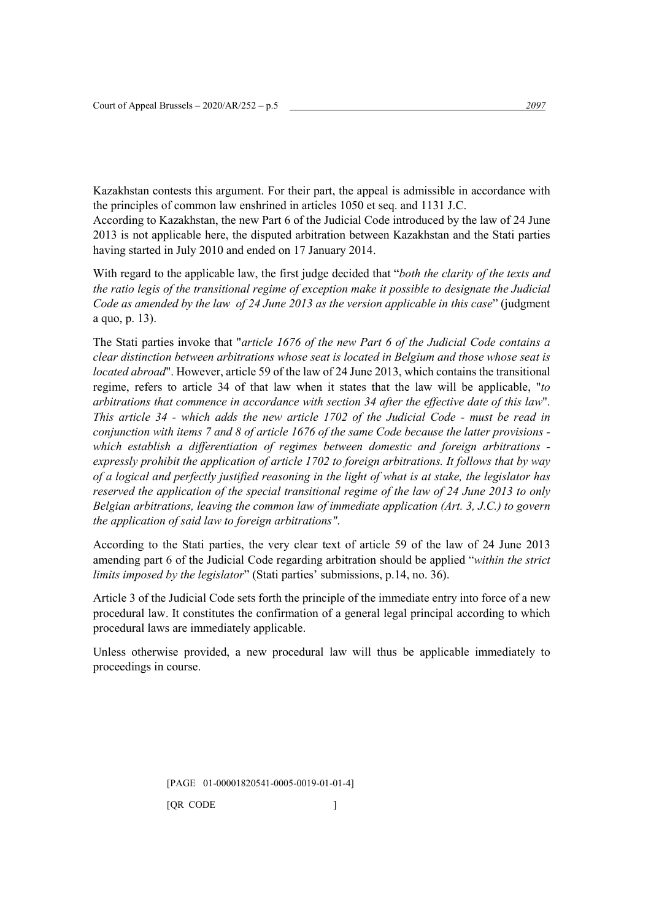Kazakhstan contests this argument. For their part, the appeal is admissible in accordance with the principles of common law enshrined in articles 1050 et seq. and 1131 J.C.

According to Kazakhstan, the new Part 6 of the Judicial Code introduced by the law of 24 June 2013 is not applicable here, the disputed arbitration between Kazakhstan and the Stati parties having started in July 2010 and ended on 17 January 2014.

With regard to the applicable law, the first judge decided that "*both the clarity of the texts and the ratio legis of the transitional regime of exception make it possible to designate the Judicial Code as amended by the law of 24 June 2013 as the version applicable in this case*" (judgment a quo, p. 13).

The Stati parties invoke that "*article 1676 of the new Part 6 of the Judicial Code contains a clear distinction between arbitrations whose seat is located in Belgium and those whose seat is located abroad*". However, article 59 of the law of 24 June 2013, which contains the transitional regime, refers to article 34 of that law when it states that the law will be applicable, "*to arbitrations that commence in accordance with section 34 after the effective date of this law*". *This article 34 - which adds the new article 1702 of the Judicial Code - must be read in conjunction with items 7 and 8 of article 1676 of the same Code because the latter provisions which establish a differentiation of regimes between domestic and foreign arbitrations expressly prohibit the application of article 1702 to foreign arbitrations. It follows that by way of a logical and perfectly justified reasoning in the light of what is at stake, the legislator has reserved the application of the special transitional regime of the law of 24 June 2013 to only Belgian arbitrations, leaving the common law of immediate application (Art. 3, J.C.) to govern the application of said law to foreign arbitrations"*.

According to the Stati parties, the very clear text of article 59 of the law of 24 June 2013 amending part 6 of the Judicial Code regarding arbitration should be applied "*within the strict limits imposed by the legislator*" (Stati parties' submissions, p.14, no. 36).

Article 3 of the Judicial Code sets forth the principle of the immediate entry into force of a new procedural law. It constitutes the confirmation of a general legal principal according to which procedural laws are immediately applicable.

Unless otherwise provided, a new procedural law will thus be applicable immediately to proceedings in course.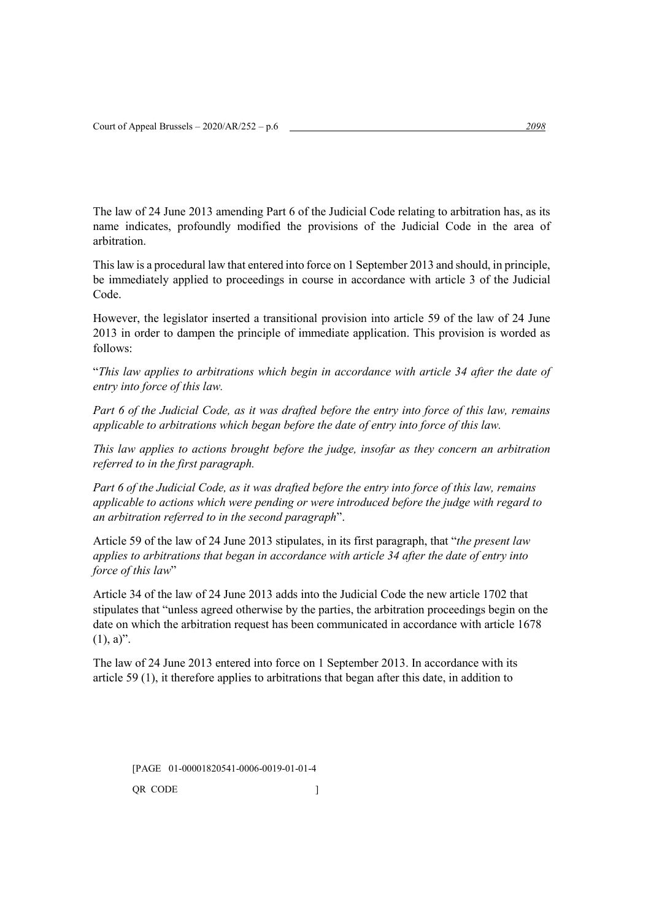The law of 24 June 2013 amending Part 6 of the Judicial Code relating to arbitration has, as its name indicates, profoundly modified the provisions of the Judicial Code in the area of arbitration.

This law is a procedural law that entered into force on 1 September 2013 and should, in principle, be immediately applied to proceedings in course in accordance with article 3 of the Judicial Code.

However, the legislator inserted a transitional provision into article 59 of the law of 24 June 2013 in order to dampen the principle of immediate application. This provision is worded as follows:

"*This law applies to arbitrations which begin in accordance with article 34 after the date of entry into force of this law.*

*Part 6 of the Judicial Code, as it was drafted before the entry into force of this law, remains applicable to arbitrations which began before the date of entry into force of this law.*

*This law applies to actions brought before the judge, insofar as they concern an arbitration referred to in the first paragraph.*

*Part 6 of the Judicial Code, as it was drafted before the entry into force of this law, remains applicable to actions which were pending or were introduced before the judge with regard to an arbitration referred to in the second paragraph*".

Article 59 of the law of 24 June 2013 stipulates, in its first paragraph, that "*the present law applies to arbitrations that began in accordance with article 34 after the date of entry into force of this law*"

Article 34 of the law of 24 June 2013 adds into the Judicial Code the new article 1702 that stipulates that "unless agreed otherwise by the parties, the arbitration proceedings begin on the date on which the arbitration request has been communicated in accordance with article 1678  $(1), a$ ".

The law of 24 June 2013 entered into force on 1 September 2013. In accordance with its article 59 (1), it therefore applies to arbitrations that began after this date, in addition to

[PAGE 01-00001820541-0006-0019-01-01-4 QR CODE  $\qquad \qquad$  ]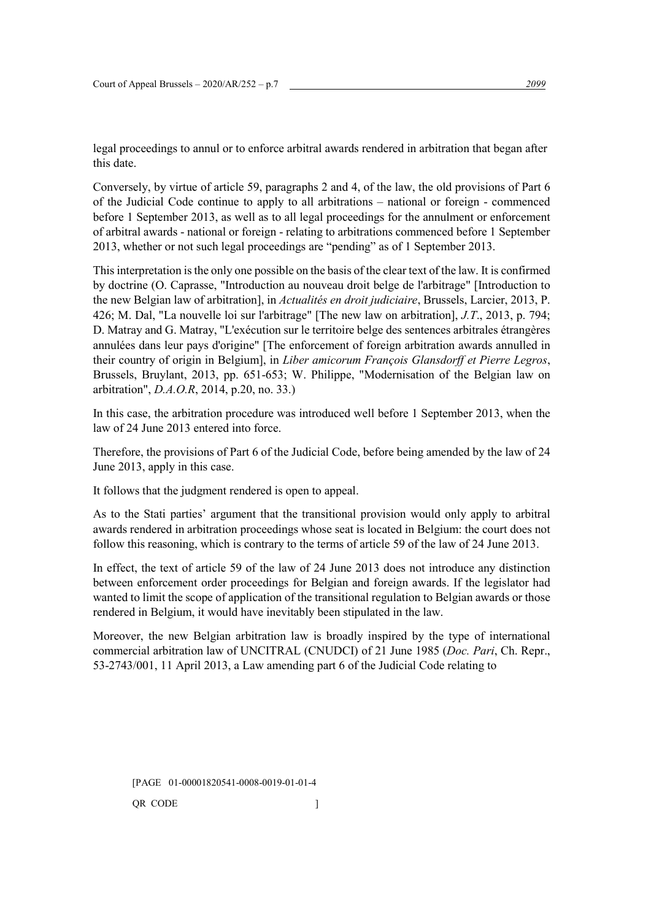legal proceedings to annul or to enforce arbitral awards rendered in arbitration that began after this date.

Conversely, by virtue of article 59, paragraphs 2 and 4, of the law, the old provisions of Part 6 of the Judicial Code continue to apply to all arbitrations – national or foreign - commenced before 1 September 2013, as well as to all legal proceedings for the annulment or enforcement of arbitral awards - national or foreign - relating to arbitrations commenced before 1 September 2013, whether or not such legal proceedings are "pending" as of 1 September 2013.

This interpretation is the only one possible on the basis of the clear text of the law. It is confirmed by doctrine (O. Caprasse, "Introduction au nouveau droit belge de l'arbitrage" [Introduction to the new Belgian law of arbitration], in *Actualités en droit judiciaire*, Brussels, Larcier, 2013, P. 426; M. Dal, "La nouvelle loi sur l'arbitrage" [The new law on arbitration], *J.T*., 2013, p. 794; D. Matray and G. Matray, "L'exécution sur le territoire belge des sentences arbitrales étrangères annulées dans leur pays d'origine" [The enforcement of foreign arbitration awards annulled in their country of origin in Belgium], in *Liber amicorum François Glansdorff et Pierre Legros*, Brussels, Bruylant, 2013, pp. 651-653; W. Philippe, "Modernisation of the Belgian law on arbitration", *D.A.O.R*, 2014, p.20, no. 33.)

In this case, the arbitration procedure was introduced well before 1 September 2013, when the law of 24 June 2013 entered into force.

Therefore, the provisions of Part 6 of the Judicial Code, before being amended by the law of 24 June 2013, apply in this case.

It follows that the judgment rendered is open to appeal.

As to the Stati parties' argument that the transitional provision would only apply to arbitral awards rendered in arbitration proceedings whose seat is located in Belgium: the court does not follow this reasoning, which is contrary to the terms of article 59 of the law of 24 June 2013.

In effect, the text of article 59 of the law of 24 June 2013 does not introduce any distinction between enforcement order proceedings for Belgian and foreign awards. If the legislator had wanted to limit the scope of application of the transitional regulation to Belgian awards or those rendered in Belgium, it would have inevitably been stipulated in the law.

Moreover, the new Belgian arbitration law is broadly inspired by the type of international commercial arbitration law of UNCITRAL (CNUDCI) of 21 June 1985 (*Doc. Pari*, Ch. Repr., 53-2743/001, 11 April 2013, a Law amending part 6 of the Judicial Code relating to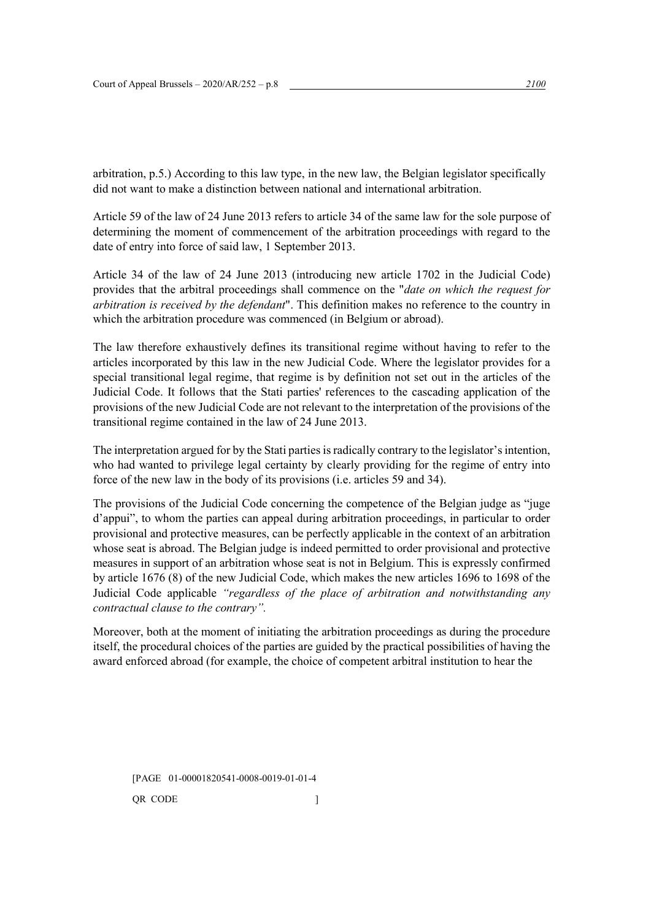arbitration, p.5.) According to this law type, in the new law, the Belgian legislator specifically did not want to make a distinction between national and international arbitration.

Article 59 of the law of 24 June 2013 refers to article 34 of the same law for the sole purpose of determining the moment of commencement of the arbitration proceedings with regard to the date of entry into force of said law, 1 September 2013.

Article 34 of the law of 24 June 2013 (introducing new article 1702 in the Judicial Code) provides that the arbitral proceedings shall commence on the "*date on which the request for arbitration is received by the defendant*". This definition makes no reference to the country in which the arbitration procedure was commenced (in Belgium or abroad).

The law therefore exhaustively defines its transitional regime without having to refer to the articles incorporated by this law in the new Judicial Code. Where the legislator provides for a special transitional legal regime, that regime is by definition not set out in the articles of the Judicial Code. It follows that the Stati parties' references to the cascading application of the provisions of the new Judicial Code are not relevant to the interpretation of the provisions of the transitional regime contained in the law of 24 June 2013.

The interpretation argued for by the Stati partiesis radically contrary to the legislator's intention, who had wanted to privilege legal certainty by clearly providing for the regime of entry into force of the new law in the body of its provisions (i.e. articles 59 and 34).

The provisions of the Judicial Code concerning the competence of the Belgian judge as "juge d'appui", to whom the parties can appeal during arbitration proceedings, in particular to order provisional and protective measures, can be perfectly applicable in the context of an arbitration whose seat is abroad. The Belgian judge is indeed permitted to order provisional and protective measures in support of an arbitration whose seat is not in Belgium. This is expressly confirmed by article 1676 (8) of the new Judicial Code, which makes the new articles 1696 to 1698 of the Judicial Code applicable *"regardless of the place of arbitration and notwithstanding any contractual clause to the contrary".*

Moreover, both at the moment of initiating the arbitration proceedings as during the procedure itself, the procedural choices of the parties are guided by the practical possibilities of having the award enforced abroad (for example, the choice of competent arbitral institution to hear the

[PAGE 01-00001820541-0008-0019-01-01-4 QR CODE  $\qquad$  ]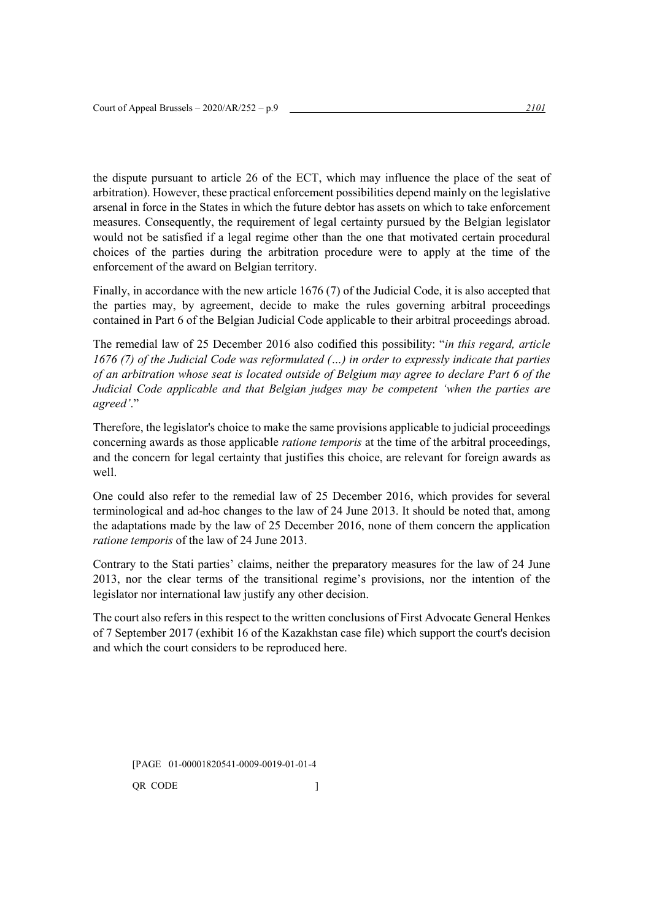the dispute pursuant to article 26 of the ECT, which may influence the place of the seat of arbitration). However, these practical enforcement possibilities depend mainly on the legislative arsenal in force in the States in which the future debtor has assets on which to take enforcement measures. Consequently, the requirement of legal certainty pursued by the Belgian legislator would not be satisfied if a legal regime other than the one that motivated certain procedural choices of the parties during the arbitration procedure were to apply at the time of the enforcement of the award on Belgian territory.

Finally, in accordance with the new article 1676 (7) of the Judicial Code, it is also accepted that the parties may, by agreement, decide to make the rules governing arbitral proceedings contained in Part 6 of the Belgian Judicial Code applicable to their arbitral proceedings abroad.

The remedial law of 25 December 2016 also codified this possibility: "*in this regard, article 1676 (7) of the Judicial Code was reformulated (…) in order to expressly indicate that parties of an arbitration whose seat is located outside of Belgium may agree to declare Part 6 of the Judicial Code applicable and that Belgian judges may be competent 'when the parties are agreed'*."

Therefore, the legislator's choice to make the same provisions applicable to judicial proceedings concerning awards as those applicable *ratione temporis* at the time of the arbitral proceedings, and the concern for legal certainty that justifies this choice, are relevant for foreign awards as well.

One could also refer to the remedial law of 25 December 2016, which provides for several terminological and ad-hoc changes to the law of 24 June 2013. It should be noted that, among the adaptations made by the law of 25 December 2016, none of them concern the application *ratione temporis* of the law of 24 June 2013.

Contrary to the Stati parties' claims, neither the preparatory measures for the law of 24 June 2013, nor the clear terms of the transitional regime's provisions, nor the intention of the legislator nor international law justify any other decision.

The court also refers in this respect to the written conclusions of First Advocate General Henkes of 7 September 2017 (exhibit 16 of the Kazakhstan case file) which support the court's decision and which the court considers to be reproduced here.

[PAGE 01-00001820541-0009-0019-01-01-4 QR CODE  $\qquad$  ]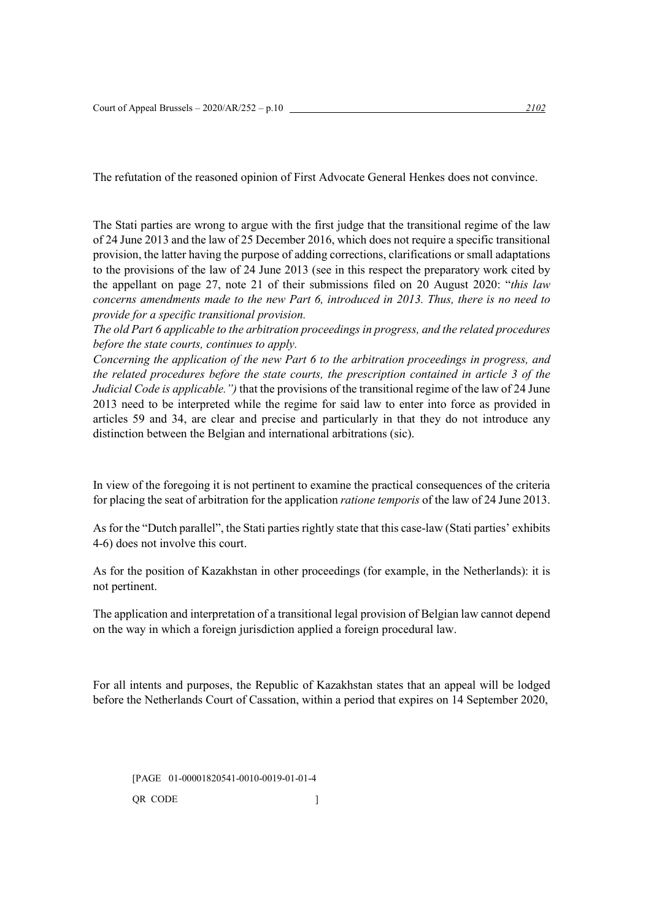The refutation of the reasoned opinion of First Advocate General Henkes does not convince.

The Stati parties are wrong to argue with the first judge that the transitional regime of the law of 24 June 2013 and the law of 25 December 2016, which does not require a specific transitional provision, the latter having the purpose of adding corrections, clarifications or small adaptations to the provisions of the law of 24 June 2013 (see in this respect the preparatory work cited by the appellant on page 27, note 21 of their submissions filed on 20 August 2020: "*this law concerns amendments made to the new Part 6, introduced in 2013. Thus, there is no need to provide for a specific transitional provision.*

*The old Part 6 applicable to the arbitration proceedings in progress, and the related procedures before the state courts, continues to apply.*

*Concerning the application of the new Part 6 to the arbitration proceedings in progress, and the related procedures before the state courts, the prescription contained in article 3 of the Judicial Code is applicable.")* that the provisions of the transitional regime of the law of 24 June 2013 need to be interpreted while the regime for said law to enter into force as provided in articles 59 and 34, are clear and precise and particularly in that they do not introduce any distinction between the Belgian and international arbitrations (sic).

In view of the foregoing it is not pertinent to examine the practical consequences of the criteria for placing the seat of arbitration for the application *ratione temporis* of the law of 24 June 2013.

As for the "Dutch parallel", the Stati parties rightly state that this case-law (Stati parties' exhibits 4-6) does not involve this court.

As for the position of Kazakhstan in other proceedings (for example, in the Netherlands): it is not pertinent.

The application and interpretation of a transitional legal provision of Belgian law cannot depend on the way in which a foreign jurisdiction applied a foreign procedural law.

For all intents and purposes, the Republic of Kazakhstan states that an appeal will be lodged before the Netherlands Court of Cassation, within a period that expires on 14 September 2020,

[PAGE 01-00001820541-0010-0019-01-01-4 QR CODE  $\qquad$  ]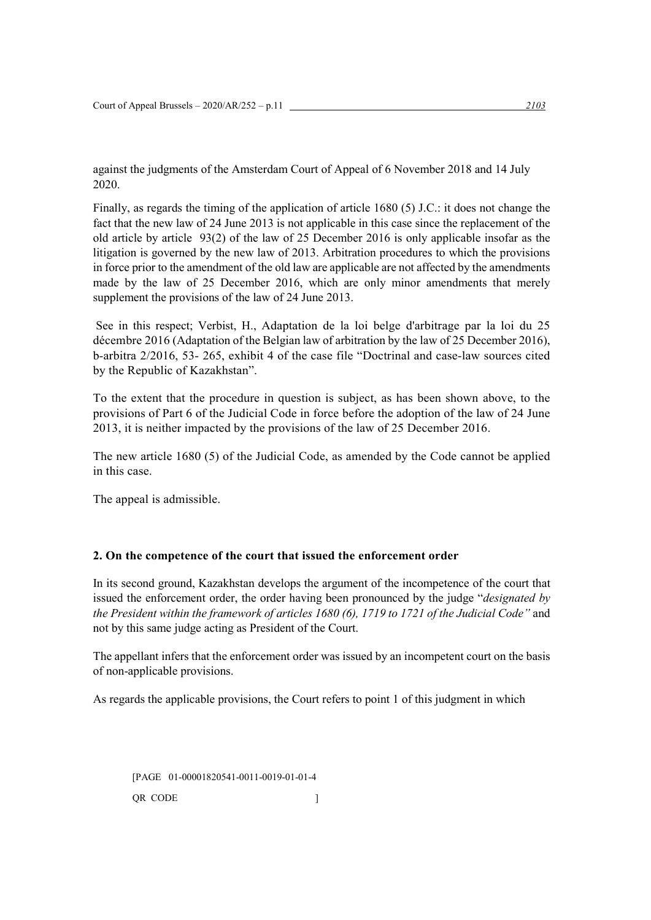against the judgments of the Amsterdam Court of Appeal of 6 November 2018 and 14 July 2020.

Finally, as regards the timing of the application of article 1680 (5) J.C.: it does not change the fact that the new law of 24 June 2013 is not applicable in this case since the replacement of the old article by article 93(2) of the law of 25 December 2016 is only applicable insofar as the litigation is governed by the new law of 2013. Arbitration procedures to which the provisions in force prior to the amendment of the old law are applicable are not affected by the amendments made by the law of 25 December 2016, which are only minor amendments that merely supplement the provisions of the law of 24 June 2013.

See in this respect; Verbist, H., Adaptation de la loi belge d'arbitrage par la loi du 25 décembre 2016 (Adaptation of the Belgian law of arbitration by the law of 25 December 2016), b-arbitra 2/2016, 53- 265, exhibit 4 of the case file "Doctrinal and case-law sources cited by the Republic of Kazakhstan".

To the extent that the procedure in question is subject, as has been shown above, to the provisions of Part 6 of the Judicial Code in force before the adoption of the law of 24 June 2013, it is neither impacted by the provisions of the law of 25 December 2016.

The new article 1680 (5) of the Judicial Code, as amended by the Code cannot be applied in this case.

The appeal is admissible.

# **2. On the competence of the court that issued the enforcement order**

In its second ground, Kazakhstan develops the argument of the incompetence of the court that issued the enforcement order, the order having been pronounced by the judge "*designated by the President within the framework of articles 1680 (6), 1719 to 1721 of the Judicial Code"* and not by this same judge acting as President of the Court.

The appellant infers that the enforcement order was issued by an incompetent court on the basis of non-applicable provisions.

As regards the applicable provisions, the Court refers to point 1 of this judgment in which

[PAGE 01-00001820541-0011-0019-01-01-4 QR CODE  $\qquad$  ]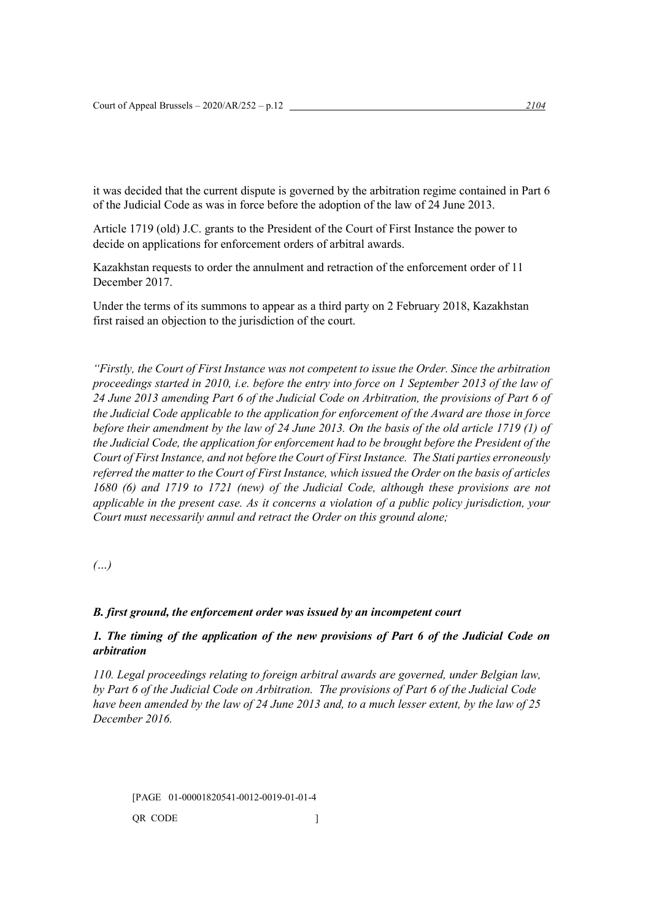it was decided that the current dispute is governed by the arbitration regime contained in Part 6 of the Judicial Code as was in force before the adoption of the law of 24 June 2013.

Article 1719 (old) J.C. grants to the President of the Court of First Instance the power to decide on applications for enforcement orders of arbitral awards.

Kazakhstan requests to order the annulment and retraction of the enforcement order of 11 December 2017.

Under the terms of its summons to appear as a third party on 2 February 2018, Kazakhstan first raised an objection to the jurisdiction of the court.

*"Firstly, the Court of First Instance was not competent to issue the Order. Since the arbitration proceedings started in 2010, i.e. before the entry into force on 1 September 2013 of the law of 24 June 2013 amending Part 6 of the Judicial Code on Arbitration, the provisions of Part 6 of the Judicial Code applicable to the application for enforcement of the Award are those in force before their amendment by the law of 24 June 2013. On the basis of the old article 1719 (1) of the Judicial Code, the application for enforcement had to be brought before the President of the Court of First Instance, and not before the Court of First Instance. The Stati parties erroneously referred the matter to the Court of First Instance, which issued the Order on the basis of articles 1680 (6) and 1719 to 1721 (new) of the Judicial Code, although these provisions are not applicable in the present case. As it concerns a violation of a public policy jurisdiction, your Court must necessarily annul and retract the Order on this ground alone;*

*(…)*

#### *B. first ground, the enforcement order was issued by an incompetent court*

# *1. The timing of the application of the new provisions of Part 6 of the Judicial Code on arbitration*

*110. Legal proceedings relating to foreign arbitral awards are governed, under Belgian law, by Part 6 of the Judicial Code on Arbitration. The provisions of Part 6 of the Judicial Code have been amended by the law of 24 June 2013 and, to a much lesser extent, by the law of 25 December 2016.*

[PAGE 01-00001820541-0012-0019-01-01-4 QR CODE  $\qquad$  ]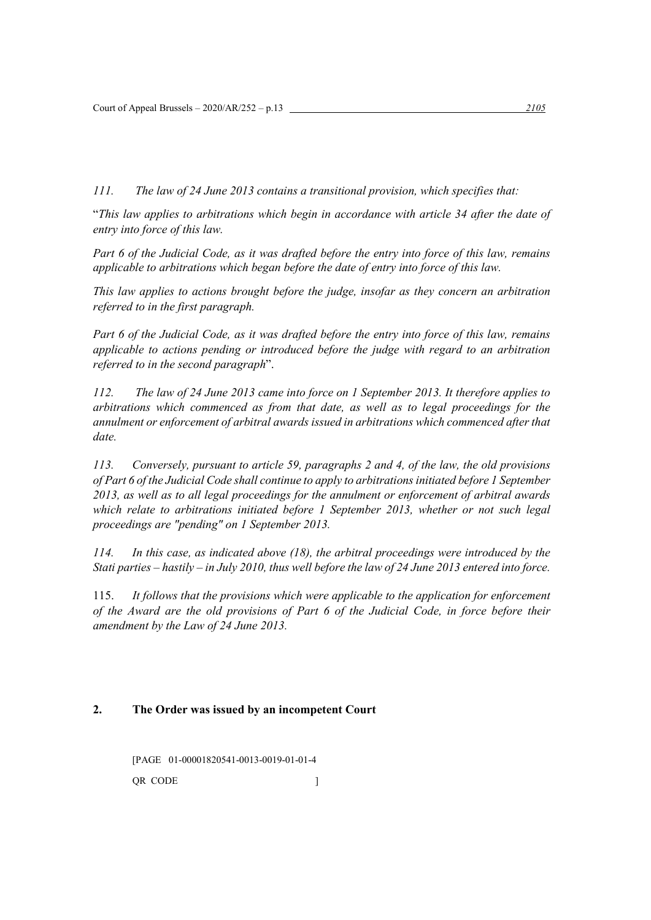*111. The law of 24 June 2013 contains a transitional provision, which specifies that:*

"*This law applies to arbitrations which begin in accordance with article 34 after the date of entry into force of this law.*

*Part 6 of the Judicial Code, as it was drafted before the entry into force of this law, remains applicable to arbitrations which began before the date of entry into force of this law.*

*This law applies to actions brought before the judge, insofar as they concern an arbitration referred to in the first paragraph.*

*Part 6 of the Judicial Code, as it was drafted before the entry into force of this law, remains applicable to actions pending or introduced before the judge with regard to an arbitration referred to in the second paragraph*".

*112. The law of 24 June 2013 came into force on 1 September 2013. It therefore applies to arbitrations which commenced as from that date, as well as to legal proceedings for the annulment or enforcement of arbitral awards issued in arbitrations which commenced after that date.*

*113. Conversely, pursuant to article 59, paragraphs 2 and 4, of the law, the old provisions of Part 6 of the Judicial Code shall continue to apply to arbitrations initiated before 1 September 2013, as well as to all legal proceedings for the annulment or enforcement of arbitral awards which relate to arbitrations initiated before 1 September 2013, whether or not such legal proceedings are "pending" on 1 September 2013.*

*114. In this case, as indicated above (18), the arbitral proceedings were introduced by the Stati parties – hastily – in July 2010, thus well before the law of 24 June 2013 entered into force.*

115. *It follows that the provisions which were applicable to the application for enforcement of the Award are the old provisions of Part 6 of the Judicial Code, in force before their amendment by the Law of 24 June 2013.*

# **2. The Order was issued by an incompetent Court**

[PAGE 01-00001820541-0013-0019-01-01-4 QR CODE  $\qquad$  ]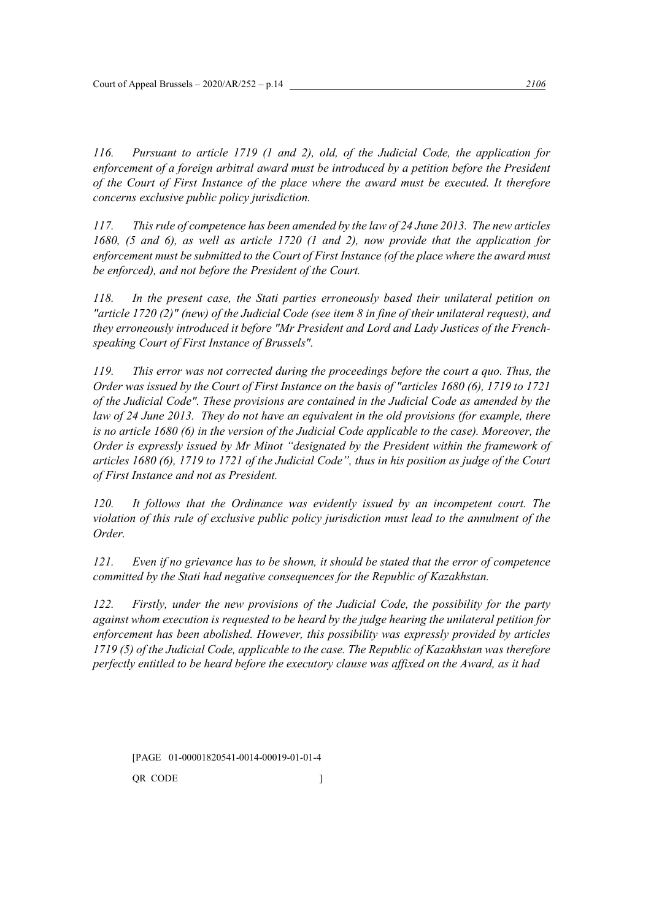*116. Pursuant to article 1719 (1 and 2), old, of the Judicial Code, the application for enforcement of a foreign arbitral award must be introduced by a petition before the President of the Court of First Instance of the place where the award must be executed. It therefore concerns exclusive public policy jurisdiction.*

*117. This rule of competence has been amended by the law of 24 June 2013. The new articles 1680, (5 and 6), as well as article 1720 (1 and 2), now provide that the application for enforcement must be submitted to the Court of First Instance (of the place where the award must be enforced), and not before the President of the Court.*

*118. In the present case, the Stati parties erroneously based their unilateral petition on "article 1720 (2)" (new) of the Judicial Code (see item 8 in fine of their unilateral request), and they erroneously introduced it before "Mr President and Lord and Lady Justices of the Frenchspeaking Court of First Instance of Brussels".*

*119. This error was not corrected during the proceedings before the court a quo. Thus, the Order was issued by the Court of First Instance on the basis of "articles 1680 (6), 1719 to 1721 of the Judicial Code". These provisions are contained in the Judicial Code as amended by the law of 24 June 2013. They do not have an equivalent in the old provisions (for example, there is no article 1680 (6) in the version of the Judicial Code applicable to the case). Moreover, the Order is expressly issued by Mr Minot "designated by the President within the framework of articles 1680 (6), 1719 to 1721 of the Judicial Code", thus in his position as judge of the Court of First Instance and not as President.*

*120. It follows that the Ordinance was evidently issued by an incompetent court. The violation of this rule of exclusive public policy jurisdiction must lead to the annulment of the Order.*

*121. Even if no grievance has to be shown, it should be stated that the error of competence committed by the Stati had negative consequences for the Republic of Kazakhstan.*

*122. Firstly, under the new provisions of the Judicial Code, the possibility for the party against whom execution is requested to be heard by the judge hearing the unilateral petition for enforcement has been abolished. However, this possibility was expressly provided by articles 1719 (5) of the Judicial Code, applicable to the case. The Republic of Kazakhstan was therefore perfectly entitled to be heard before the executory clause was affixed on the Award, as it had*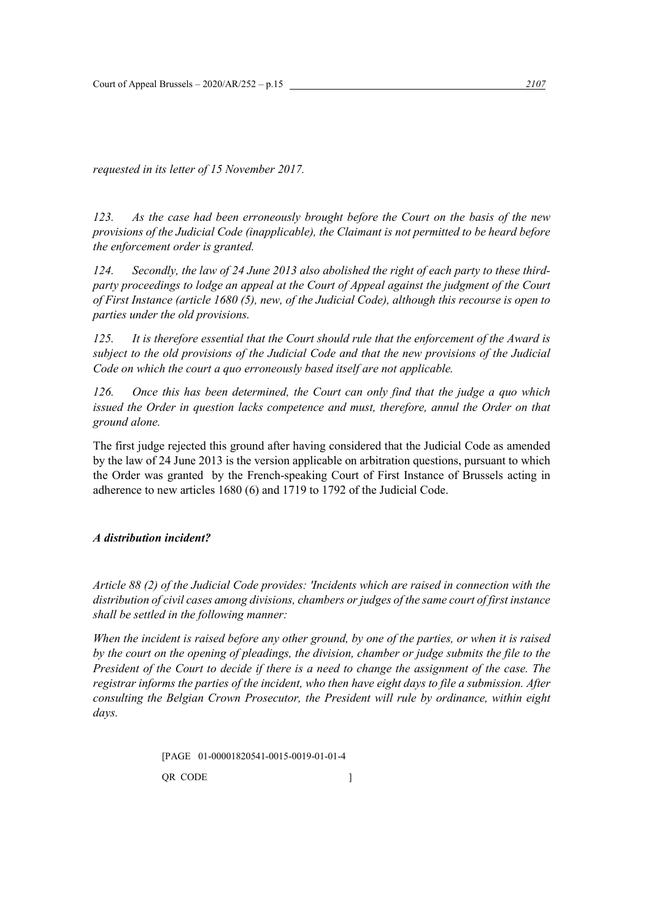*requested in its letter of 15 November 2017.*

*123. As the case had been erroneously brought before the Court on the basis of the new provisions of the Judicial Code (inapplicable), the Claimant is not permitted to be heard before the enforcement order is granted.*

*124. Secondly, the law of 24 June 2013 also abolished the right of each party to these thirdparty proceedings to lodge an appeal at the Court of Appeal against the judgment of the Court of First Instance (article 1680 (5), new, of the Judicial Code), although this recourse is open to parties under the old provisions.*

*125. It is therefore essential that the Court should rule that the enforcement of the Award is subject to the old provisions of the Judicial Code and that the new provisions of the Judicial Code on which the court a quo erroneously based itself are not applicable.*

*126. Once this has been determined, the Court can only find that the judge a quo which issued the Order in question lacks competence and must, therefore, annul the Order on that ground alone.*

The first judge rejected this ground after having considered that the Judicial Code as amended by the law of 24 June 2013 is the version applicable on arbitration questions, pursuant to which the Order was granted by the French-speaking Court of First Instance of Brussels acting in adherence to new articles 1680 (6) and 1719 to 1792 of the Judicial Code.

# *A distribution incident?*

*Article 88 (2) of the Judicial Code provides: 'Incidents which are raised in connection with the distribution of civil cases among divisions, chambers or judges of the same court of first instance shall be settled in the following manner:*

*When the incident is raised before any other ground, by one of the parties, or when it is raised by the court on the opening of pleadings, the division, chamber or judge submits the file to the President of the Court to decide if there is a need to change the assignment of the case. The registrar informs the parties of the incident, who then have eight days to file a submission. After consulting the Belgian Crown Prosecutor, the President will rule by ordinance, within eight days.*

> [PAGE 01-00001820541-0015-0019-01-01-4 QR CODE  $\qquad$  |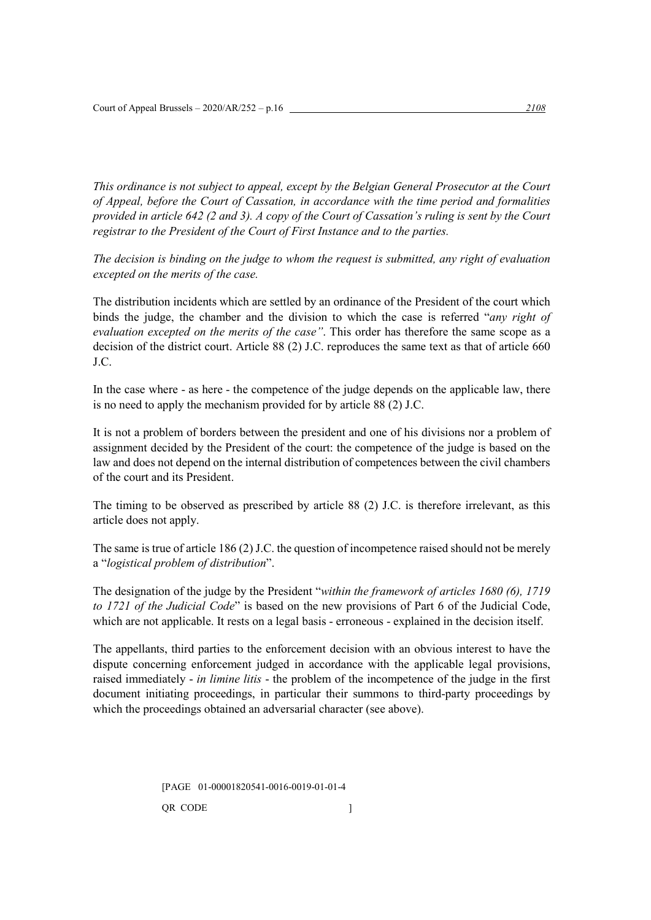*This ordinance is not subject to appeal, except by the Belgian General Prosecutor at the Court of Appeal, before the Court of Cassation, in accordance with the time period and formalities provided in article 642 (2 and 3). A copy of the Court of Cassation's ruling is sent by the Court registrar to the President of the Court of First Instance and to the parties.*

*The decision is binding on the judge to whom the request is submitted, any right of evaluation excepted on the merits of the case.*

The distribution incidents which are settled by an ordinance of the President of the court which binds the judge, the chamber and the division to which the case is referred "*any right of evaluation excepted on the merits of the case"*. This order has therefore the same scope as a decision of the district court. Article 88 (2) J.C. reproduces the same text as that of article 660 J.C.

In the case where - as here - the competence of the judge depends on the applicable law, there is no need to apply the mechanism provided for by article 88 (2) J.C.

It is not a problem of borders between the president and one of his divisions nor a problem of assignment decided by the President of the court: the competence of the judge is based on the law and does not depend on the internal distribution of competences between the civil chambers of the court and its President.

The timing to be observed as prescribed by article 88 (2) J.C. is therefore irrelevant, as this article does not apply.

The same is true of article 186 (2) J.C. the question of incompetence raised should not be merely a "*logistical problem of distribution*".

The designation of the judge by the President "*within the framework of articles 1680 (6), 1719 to 1721 of the Judicial Code*" is based on the new provisions of Part 6 of the Judicial Code, which are not applicable. It rests on a legal basis - erroneous - explained in the decision itself.

The appellants, third parties to the enforcement decision with an obvious interest to have the dispute concerning enforcement judged in accordance with the applicable legal provisions, raised immediately - *in limine litis* - the problem of the incompetence of the judge in the first document initiating proceedings, in particular their summons to third-party proceedings by which the proceedings obtained an adversarial character (see above).

> [PAGE 01-00001820541-0016-0019-01-01-4 QR CODE  $\qquad$  ]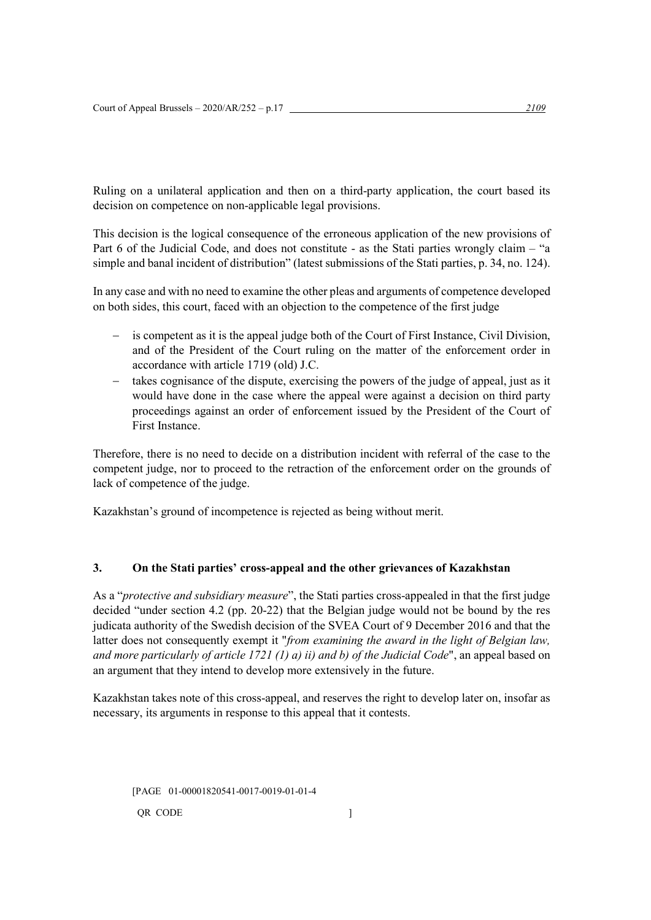Ruling on a unilateral application and then on a third-party application, the court based its decision on competence on non-applicable legal provisions.

This decision is the logical consequence of the erroneous application of the new provisions of Part 6 of the Judicial Code, and does not constitute - as the Stati parties wrongly claim – "a simple and banal incident of distribution" (latest submissions of the Stati parties, p. 34, no. 124).

In any case and with no need to examine the other pleas and arguments of competence developed on both sides, this court, faced with an objection to the competence of the first judge

- − is competent as it is the appeal judge both of the Court of First Instance, Civil Division, and of the President of the Court ruling on the matter of the enforcement order in accordance with article 1719 (old) J.C.
- takes cognisance of the dispute, exercising the powers of the judge of appeal, just as it would have done in the case where the appeal were against a decision on third party proceedings against an order of enforcement issued by the President of the Court of First Instance.

Therefore, there is no need to decide on a distribution incident with referral of the case to the competent judge, nor to proceed to the retraction of the enforcement order on the grounds of lack of competence of the judge.

Kazakhstan's ground of incompetence is rejected as being without merit.

# **3. On the Stati parties' cross-appeal and the other grievances of Kazakhstan**

As a "*protective and subsidiary measure*", the Stati parties cross-appealed in that the first judge decided "under section 4.2 (pp. 20-22) that the Belgian judge would not be bound by the res judicata authority of the Swedish decision of the SVEA Court of 9 December 2016 and that the latter does not consequently exempt it "*from examining the award in the light of Belgian law, and more particularly of article 1721 (1) a) ii) and b) of the Judicial Code*", an appeal based on an argument that they intend to develop more extensively in the future.

Kazakhstan takes note of this cross-appeal, and reserves the right to develop later on, insofar as necessary, its arguments in response to this appeal that it contests.

[PAGE 01-00001820541-0017-0019-01-01-4 QR CODE 2008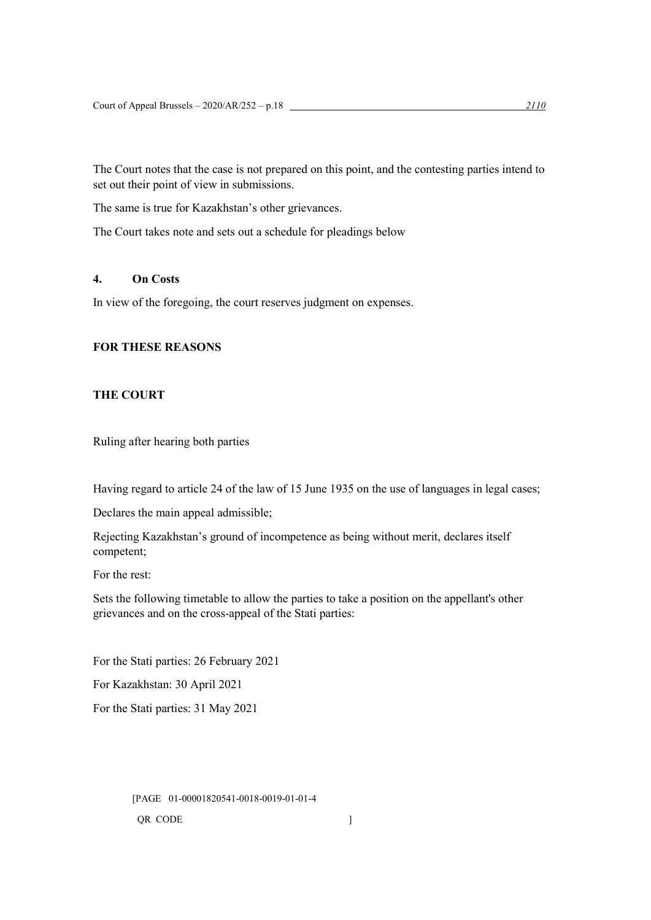The Court notes that the case is not prepared on this point, and the contesting parties intend to set out their point of view in submissions.

The same is true for Kazakhstan's other grievances.

The Court takes note and sets out a schedule for pleadings below

# **4. On Costs**

In view of the foregoing, the court reserves judgment on expenses.

# **FOR THESE REASONS**

# **THE COURT**

Ruling after hearing both parties

Having regard to article 24 of the law of 15 June 1935 on the use of languages in legal cases;

Declares the main appeal admissible;

Rejecting Kazakhstan's ground of incompetence as being without merit, declares itself competent;

For the rest:

Sets the following timetable to allow the parties to take a position on the appellant's other grievances and on the cross-appeal of the Stati parties:

For the Stati parties: 26 February 2021

For Kazakhstan: 30 April 2021

For the Stati parties: 31 May 2021

[PAGE 01-00001820541-0018-0019-01-01-4 QR CODE  $\qquad \qquad$  ]